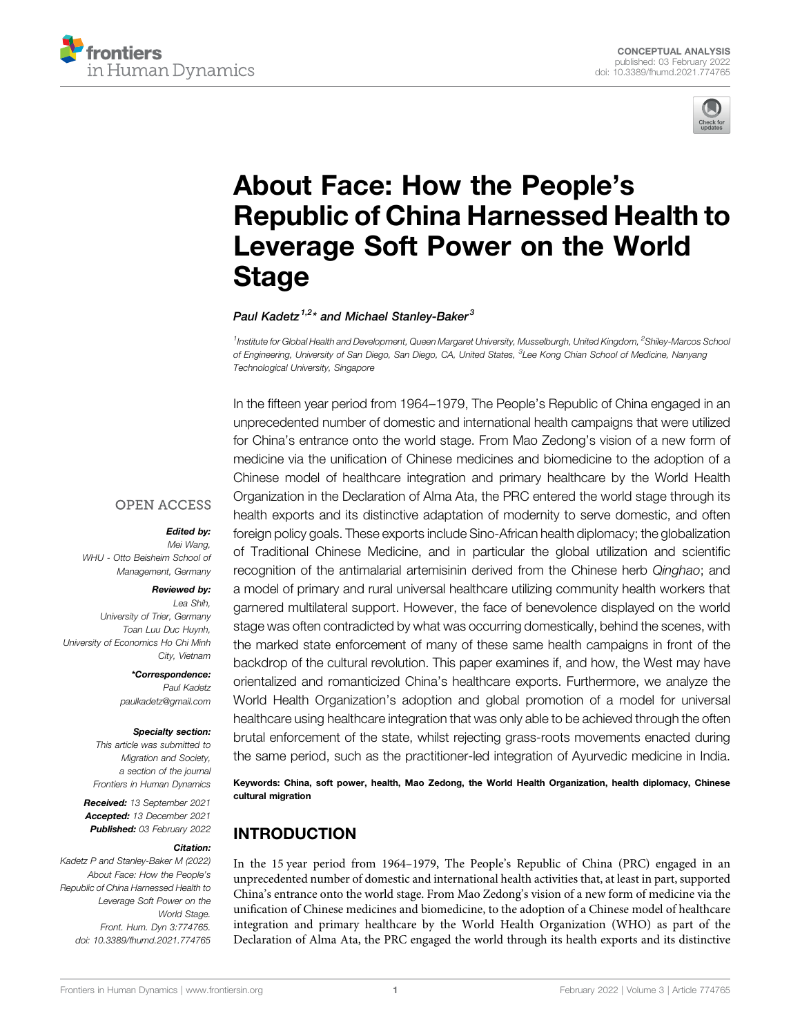



# [About Face: How the People](https://www.frontiersin.org/articles/10.3389/fhumd.2021.774765/full)'s [Republic of China Harnessed Health to](https://www.frontiersin.org/articles/10.3389/fhumd.2021.774765/full) [Leverage Soft Power on the World](https://www.frontiersin.org/articles/10.3389/fhumd.2021.774765/full) **[Stage](https://www.frontiersin.org/articles/10.3389/fhumd.2021.774765/full)**

#### Paul Kadetz<sup>1,2</sup>\* and Michael Stanlev-Baker<sup>3</sup>

<sup>1</sup> Institute for Global Health and Development, Queen Margaret University, Musselburgh, United Kingdom, <sup>2</sup>Shiley-Marcos School of Engineering, University of San Diego, San Diego, CA, United States, <sup>3</sup>Lee Kong Chian School of Medicine, Nanyang Technological University, Singapore

In the fifteen year period from 1964–1979, The People's Republic of China engaged in an unprecedented number of domestic and international health campaigns that were utilized for China's entrance onto the world stage. From Mao Zedong's vision of a new form of medicine via the unification of Chinese medicines and biomedicine to the adoption of a Chinese model of healthcare integration and primary healthcare by the World Health Organization in the Declaration of Alma Ata, the PRC entered the world stage through its health exports and its distinctive adaptation of modernity to serve domestic, and often foreign policy goals. These exports include Sino-African health diplomacy; the globalization of Traditional Chinese Medicine, and in particular the global utilization and scientific recognition of the antimalarial artemisinin derived from the Chinese herb Qinghao; and a model of primary and rural universal healthcare utilizing community health workers that garnered multilateral support. However, the face of benevolence displayed on the world stage was often contradicted by what was occurring domestically, behind the scenes, with the marked state enforcement of many of these same health campaigns in front of the backdrop of the cultural revolution. This paper examines if, and how, the West may have orientalized and romanticized China's healthcare exports. Furthermore, we analyze the World Health Organization's adoption and global promotion of a model for universal healthcare using healthcare integration that was only able to be achieved through the often brutal enforcement of the state, whilst rejecting grass-roots movements enacted during the same period, such as the practitioner-led integration of Ayurvedic medicine in India.

Keywords: China, soft power, health, Mao Zedong, the World Health Organization, health diplomacy, Chinese cultural migration

# INTRODUCTION

In the 15 year period from 1964–1979, The People's Republic of China (PRC) engaged in an unprecedented number of domestic and international health activities that, at least in part, supported China's entrance onto the world stage. From Mao Zedong's vision of a new form of medicine via the unification of Chinese medicines and biomedicine, to the adoption of a Chinese model of healthcare integration and primary healthcare by the World Health Organization (WHO) as part of the Declaration of Alma Ata, the PRC engaged the world through its health exports and its distinctive

#### **OPEN ACCESS**

#### Edited by:

Mei Wang, WHU - Otto Beisheim School of Management, Germany

#### Reviewed by:

Lea Shih, University of Trier, Germany Toan Luu Duc Huynh, University of Economics Ho Chi Minh City, Vietnam

> \*Correspondence: Paul Kadetz [paulkadetz@gmail.com](mailto:paulkadetz@gmail.com)

#### Specialty section:

This article was submitted to Migration and Society, a section of the journal Frontiers in Human Dynamics

Received: 13 September 2021 Accepted: 13 December 2021 Published: 03 February 2022

#### Citation:

Kadetz P and Stanley-Baker M (2022) About Face: How the People's Republic of China Harnessed Health to Leverage Soft Power on the World Stage. Front. Hum. Dyn 3:774765. doi: [10.3389/fhumd.2021.774765](https://doi.org/10.3389/fhumd.2021.774765)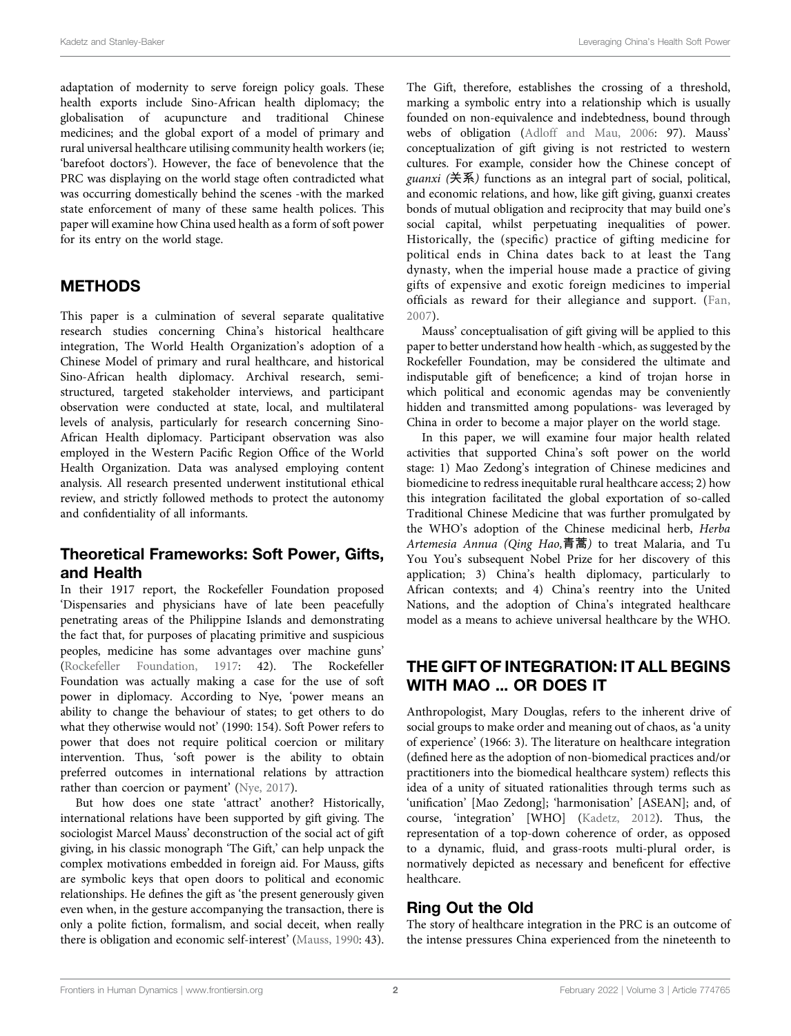adaptation of modernity to serve foreign policy goals. These health exports include Sino-African health diplomacy; the globalisation of acupuncture and traditional Chinese medicines; and the global export of a model of primary and rural universal healthcare utilising community health workers (ie; 'barefoot doctors'). However, the face of benevolence that the PRC was displaying on the world stage often contradicted what was occurring domestically behind the scenes -with the marked state enforcement of many of these same health polices. This paper will examine how China used health as a form of soft power for its entry on the world stage.

#### METHODS

This paper is a culmination of several separate qualitative research studies concerning China's historical healthcare integration, The World Health Organization's adoption of a Chinese Model of primary and rural healthcare, and historical Sino-African health diplomacy. Archival research, semistructured, targeted stakeholder interviews, and participant observation were conducted at state, local, and multilateral levels of analysis, particularly for research concerning Sino-African Health diplomacy. Participant observation was also employed in the Western Pacific Region Office of the World Health Organization. Data was analysed employing content analysis. All research presented underwent institutional ethical review, and strictly followed methods to protect the autonomy and confidentiality of all informants.

#### Theoretical Frameworks: Soft Power, Gifts, and Health

In their 1917 report, the Rockefeller Foundation proposed 'Dispensaries and physicians have of late been peacefully penetrating areas of the Philippine Islands and demonstrating the fact that, for purposes of placating primitive and suspicious peoples, medicine has some advantages over machine guns' ([Rockefeller Foundation, 1917](#page-10-0): 42). The Rockefeller Foundation was actually making a case for the use of soft power in diplomacy. According to Nye, 'power means an ability to change the behaviour of states; to get others to do what they otherwise would not' (1990: 154). Soft Power refers to power that does not require political coercion or military intervention. Thus, 'soft power is the ability to obtain preferred outcomes in international relations by attraction rather than coercion or payment' ([Nye, 2017\)](#page-10-1).

But how does one state 'attract' another? Historically, international relations have been supported by gift giving. The sociologist Marcel Mauss' deconstruction of the social act of gift giving, in his classic monograph 'The Gift,' can help unpack the complex motivations embedded in foreign aid. For Mauss, gifts are symbolic keys that open doors to political and economic relationships. He defines the gift as 'the present generously given even when, in the gesture accompanying the transaction, there is only a polite fiction, formalism, and social deceit, when really there is obligation and economic self-interest' [\(Mauss, 1990](#page-10-2): 43).

The Gift, therefore, establishes the crossing of a threshold, marking a symbolic entry into a relationship which is usually founded on non-equivalence and indebtedness, bound through webs of obligation [\(Adloff and Mau, 2006:](#page-10-3) 97). Mauss' conceptualization of gift giving is not restricted to western cultures. For example, consider how the Chinese concept of  $guanxi$  (关系) functions as an integral part of social, political, and economic relations, and how, like gift giving, guanxi creates bonds of mutual obligation and reciprocity that may build one's social capital, whilst perpetuating inequalities of power. Historically, the (specific) practice of gifting medicine for political ends in China dates back to at least the Tang dynasty, when the imperial house made a practice of giving gifts of expensive and exotic foreign medicines to imperial officials as reward for their allegiance and support. ([Fan,](#page-10-4) [2007](#page-10-4)).

Mauss' conceptualisation of gift giving will be applied to this paper to better understand how health -which, as suggested by the Rockefeller Foundation, may be considered the ultimate and indisputable gift of beneficence; a kind of trojan horse in which political and economic agendas may be conveniently hidden and transmitted among populations- was leveraged by China in order to become a major player on the world stage.

In this paper, we will examine four major health related activities that supported China's soft power on the world stage: 1) Mao Zedong's integration of Chinese medicines and biomedicine to redress inequitable rural healthcare access; 2) how this integration facilitated the global exportation of so-called Traditional Chinese Medicine that was further promulgated by the WHO's adoption of the Chinese medicinal herb, Herba Artemesia Annua (Qing Hao,青蒿) to treat Malaria, and Tu You You's subsequent Nobel Prize for her discovery of this application; 3) China's health diplomacy, particularly to African contexts; and 4) China's reentry into the United Nations, and the adoption of China's integrated healthcare model as a means to achieve universal healthcare by the WHO.

#### THE GIFT OF INTEGRATION: IT ALL BEGINS WITH MAO ... OR DOES IT

Anthropologist, Mary Douglas, refers to the inherent drive of social groups to make order and meaning out of chaos, as 'a unity of experience' (1966: 3). The literature on healthcare integration (defined here as the adoption of non-biomedical practices and/or practitioners into the biomedical healthcare system) reflects this idea of a unity of situated rationalities through terms such as 'unification' [Mao Zedong]; 'harmonisation' [ASEAN]; and, of course, 'integration' [WHO] [\(Kadetz, 2012\)](#page-10-5). Thus, the representation of a top-down coherence of order, as opposed to a dynamic, fluid, and grass-roots multi-plural order, is normatively depicted as necessary and beneficent for effective healthcare.

#### Ring Out the Old

The story of healthcare integration in the PRC is an outcome of the intense pressures China experienced from the nineteenth to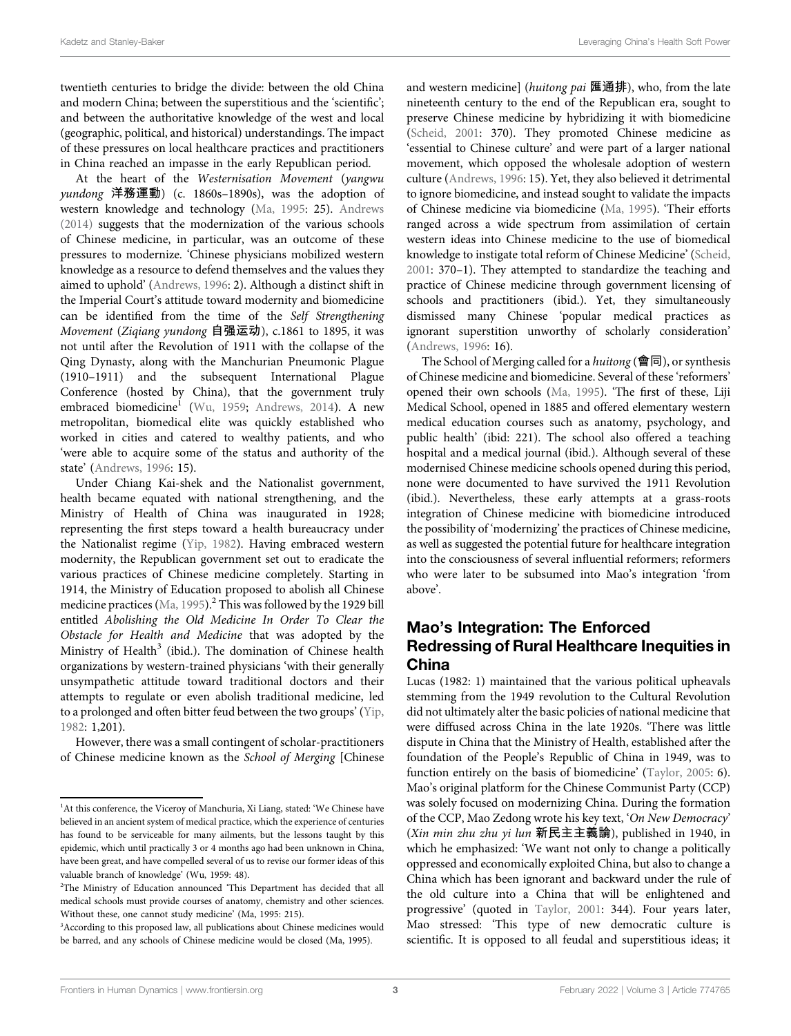twentieth centuries to bridge the divide: between the old China and modern China; between the superstitious and the 'scientific'; and between the authoritative knowledge of the west and local (geographic, political, and historical) understandings. The impact of these pressures on local healthcare practices and practitioners in China reached an impasse in the early Republican period.

At the heart of the Westernisation Movement (yangwu yundong 洋務運動) (c. 1860s–1890s), was the adoption of western knowledge and technology [\(Ma, 1995:](#page-10-6) 25). [Andrews](#page-10-7) [\(2014\)](#page-10-7) suggests that the modernization of the various schools of Chinese medicine, in particular, was an outcome of these pressures to modernize. 'Chinese physicians mobilized western knowledge as a resource to defend themselves and the values they aimed to uphold' [\(Andrews, 1996](#page-10-8): 2). Although a distinct shift in the Imperial Court's attitude toward modernity and biomedicine can be identified from the time of the Self Strengthening Movement (Ziqiang yundong 自强运动), c.1861 to 1895, it was not until after the Revolution of 1911 with the collapse of the Qing Dynasty, along with the Manchurian Pneumonic Plague (1910–1911) and the subsequent International Plague Conference (hosted by China), that the government truly embraced biomedicine<sup>1</sup> ([Wu, 1959](#page-11-0); [Andrews, 2014](#page-10-7)). A new metropolitan, biomedical elite was quickly established who worked in cities and catered to wealthy patients, and who 'were able to acquire some of the status and authority of the state' [\(Andrews, 1996](#page-10-8): 15).

Under Chiang Kai-shek and the Nationalist government, health became equated with national strengthening, and the Ministry of Health of China was inaugurated in 1928; representing the first steps toward a health bureaucracy under the Nationalist regime [\(Yip, 1982\)](#page-11-1). Having embraced western modernity, the Republican government set out to eradicate the various practices of Chinese medicine completely. Starting in 1914, the Ministry of Education proposed to abolish all Chinese medicine practices ([Ma, 1995](#page-10-6)).<sup>2</sup> This was followed by the 1929 bill entitled Abolishing the Old Medicine In Order To Clear the Obstacle for Health and Medicine that was adopted by the Ministry of Health<sup>3</sup> (ibid.). The domination of Chinese health organizations by western-trained physicians 'with their generally unsympathetic attitude toward traditional doctors and their attempts to regulate or even abolish traditional medicine, led to a prolonged and often bitter feud between the two groups' ([Yip,](#page-11-1) [1982](#page-11-1): 1,201).

However, there was a small contingent of scholar-practitioners of Chinese medicine known as the School of Merging [Chinese and western medicine] (huitong pai 匯通排), who, from the late nineteenth century to the end of the Republican era, sought to preserve Chinese medicine by hybridizing it with biomedicine [\(Scheid, 2001:](#page-10-9) 370). They promoted Chinese medicine as 'essential to Chinese culture' and were part of a larger national movement, which opposed the wholesale adoption of western culture ([Andrews, 1996:](#page-10-8) 15). Yet, they also believed it detrimental to ignore biomedicine, and instead sought to validate the impacts of Chinese medicine via biomedicine [\(Ma, 1995](#page-10-6)). 'Their efforts ranged across a wide spectrum from assimilation of certain western ideas into Chinese medicine to the use of biomedical knowledge to instigate total reform of Chinese Medicine' [\(Scheid,](#page-10-9) [2001](#page-10-9): 370–1). They attempted to standardize the teaching and practice of Chinese medicine through government licensing of schools and practitioners (ibid.). Yet, they simultaneously dismissed many Chinese 'popular medical practices as ignorant superstition unworthy of scholarly consideration' [\(Andrews, 1996:](#page-10-8) 16).

The School of Merging called for a huitong (會同), or synthesis of Chinese medicine and biomedicine. Several of these 'reformers' opened their own schools ([Ma, 1995\)](#page-10-6). 'The first of these, Liji Medical School, opened in 1885 and offered elementary western medical education courses such as anatomy, psychology, and public health' (ibid: 221). The school also offered a teaching hospital and a medical journal (ibid.). Although several of these modernised Chinese medicine schools opened during this period, none were documented to have survived the 1911 Revolution (ibid.). Nevertheless, these early attempts at a grass-roots integration of Chinese medicine with biomedicine introduced the possibility of 'modernizing' the practices of Chinese medicine, as well as suggested the potential future for healthcare integration into the consciousness of several influential reformers; reformers who were later to be subsumed into Mao's integration 'from above'.

#### Mao's Integration: The Enforced Redressing of Rural Healthcare Inequities in China

Lucas (1982: 1) maintained that the various political upheavals stemming from the 1949 revolution to the Cultural Revolution did not ultimately alter the basic policies of national medicine that were diffused across China in the late 1920s. 'There was little dispute in China that the Ministry of Health, established after the foundation of the People's Republic of China in 1949, was to function entirely on the basis of biomedicine' ([Taylor, 2005:](#page-11-2) 6). Mao's original platform for the Chinese Communist Party (CCP) was solely focused on modernizing China. During the formation of the CCP, Mao Zedong wrote his key text, 'On New Democracy' (Xin min zhu zhu yi lun 新民主主義論), published in 1940, in which he emphasized: 'We want not only to change a politically oppressed and economically exploited China, but also to change a China which has been ignorant and backward under the rule of the old culture into a China that will be enlightened and progressive' (quoted in [Taylor, 2001:](#page-11-3) 344). Four years later, Mao stressed: 'This type of new democratic culture is scientific. It is opposed to all feudal and superstitious ideas; it

<sup>&</sup>lt;sup>1</sup>At this conference, the Viceroy of Manchuria, Xi Liang, stated: 'We Chinese have believed in an ancient system of medical practice, which the experience of centuries has found to be serviceable for many ailments, but the lessons taught by this epidemic, which until practically 3 or 4 months ago had been unknown in China, have been great, and have compelled several of us to revise our former ideas of this valuable branch of knowledge' (Wu, 1959: 48).

<sup>2</sup> The Ministry of Education announced 'This Department has decided that all medical schools must provide courses of anatomy, chemistry and other sciences. Without these, one cannot study medicine' (Ma, 1995: 215).

<sup>&</sup>lt;sup>3</sup> According to this proposed law, all publications about Chinese medicines would be barred, and any schools of Chinese medicine would be closed (Ma, 1995).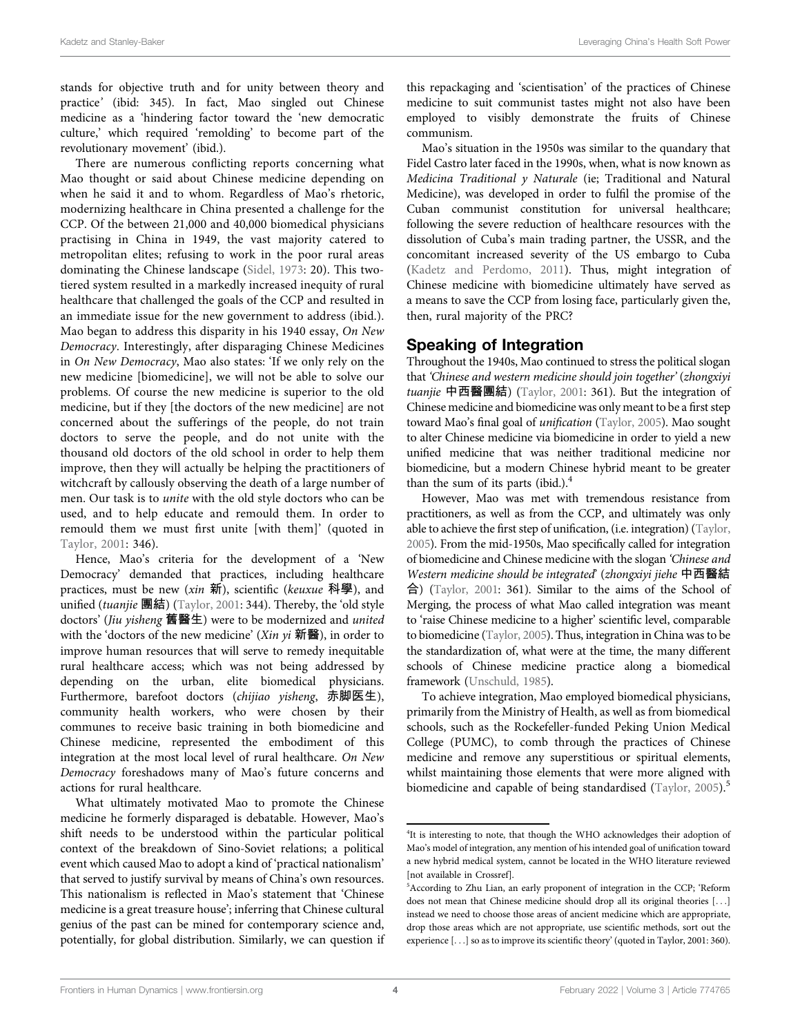stands for objective truth and for unity between theory and practice' (ibid: 345). In fact, Mao singled out Chinese medicine as a 'hindering factor toward the 'new democratic culture,' which required 'remolding' to become part of the revolutionary movement' (ibid.).

There are numerous conflicting reports concerning what Mao thought or said about Chinese medicine depending on when he said it and to whom. Regardless of Mao's rhetoric, modernizing healthcare in China presented a challenge for the CCP. Of the between 21,000 and 40,000 biomedical physicians practising in China in 1949, the vast majority catered to metropolitan elites; refusing to work in the poor rural areas dominating the Chinese landscape [\(Sidel, 1973:](#page-10-10) 20). This twotiered system resulted in a markedly increased inequity of rural healthcare that challenged the goals of the CCP and resulted in an immediate issue for the new government to address (ibid.). Mao began to address this disparity in his 1940 essay, On New Democracy. Interestingly, after disparaging Chinese Medicines in On New Democracy, Mao also states: 'If we only rely on the new medicine [biomedicine], we will not be able to solve our problems. Of course the new medicine is superior to the old medicine, but if they [the doctors of the new medicine] are not concerned about the sufferings of the people, do not train doctors to serve the people, and do not unite with the thousand old doctors of the old school in order to help them improve, then they will actually be helping the practitioners of witchcraft by callously observing the death of a large number of men. Our task is to unite with the old style doctors who can be used, and to help educate and remould them. In order to remould them we must first unite [with them]' (quoted in [Taylor, 2001:](#page-11-3) 346).

Hence, Mao's criteria for the development of a 'New Democracy' demanded that practices, including healthcare practices, must be new  $(xin$  新), scientific (keuxue 科學), and unified (tuanjie 團結) [\(Taylor, 2001:](#page-11-3) 344). Thereby, the 'old style doctors' (Jiu yisheng 舊醫生) were to be modernized and united with the 'doctors of the new medicine' (*Xin yi* 新醫), in order to improve human resources that will serve to remedy inequitable rural healthcare access; which was not being addressed by depending on the urban, elite biomedical physicians. Furthermore, barefoot doctors (chijiao yisheng, 赤脚医生), community health workers, who were chosen by their communes to receive basic training in both biomedicine and Chinese medicine, represented the embodiment of this integration at the most local level of rural healthcare. On New Democracy foreshadows many of Mao's future concerns and actions for rural healthcare.

What ultimately motivated Mao to promote the Chinese medicine he formerly disparaged is debatable. However, Mao's shift needs to be understood within the particular political context of the breakdown of Sino-Soviet relations; a political event which caused Mao to adopt a kind of 'practical nationalism' that served to justify survival by means of China's own resources. This nationalism is reflected in Mao's statement that 'Chinese medicine is a great treasure house'; inferring that Chinese cultural genius of the past can be mined for contemporary science and, potentially, for global distribution. Similarly, we can question if

this repackaging and 'scientisation' of the practices of Chinese medicine to suit communist tastes might not also have been employed to visibly demonstrate the fruits of Chinese communism.

Mao's situation in the 1950s was similar to the quandary that Fidel Castro later faced in the 1990s, when, what is now known as Medicina Traditional y Naturale (ie; Traditional and Natural Medicine), was developed in order to fulfil the promise of the Cuban communist constitution for universal healthcare; following the severe reduction of healthcare resources with the dissolution of Cuba's main trading partner, the USSR, and the concomitant increased severity of the US embargo to Cuba [\(Kadetz and Perdomo, 2011\)](#page-10-11). Thus, might integration of Chinese medicine with biomedicine ultimately have served as a means to save the CCP from losing face, particularly given the, then, rural majority of the PRC?

#### Speaking of Integration

Throughout the 1940s, Mao continued to stress the political slogan that 'Chinese and western medicine should join together' (zhongxiyi tuanjie 中西醫團結) [\(Taylor, 2001](#page-11-3): 361). But the integration of Chinese medicine and biomedicine was only meant to be a first step toward Mao's final goal of unification [\(Taylor, 2005\)](#page-11-2). Mao sought to alter Chinese medicine via biomedicine in order to yield a new unified medicine that was neither traditional medicine nor biomedicine, but a modern Chinese hybrid meant to be greater than the sum of its parts (ibid.). $4$ 

However, Mao was met with tremendous resistance from practitioners, as well as from the CCP, and ultimately was only able to achieve the first step of unification, (i.e. integration) ([Taylor,](#page-11-2) [2005\)](#page-11-2). From the mid-1950s, Mao specifically called for integration of biomedicine and Chinese medicine with the slogan 'Chinese and Western medicine should be integrated' (zhongxiyi jiehe 中西醫結 合) [\(Taylor, 2001:](#page-11-3) 361). Similar to the aims of the School of Merging, the process of what Mao called integration was meant to 'raise Chinese medicine to a higher' scientific level, comparable to biomedicine ([Taylor, 2005](#page-11-2)). Thus, integration in China was to be the standardization of, what were at the time, the many different schools of Chinese medicine practice along a biomedical framework ([Unschuld, 1985](#page-11-4)).

To achieve integration, Mao employed biomedical physicians, primarily from the Ministry of Health, as well as from biomedical schools, such as the Rockefeller-funded Peking Union Medical College (PUMC), to comb through the practices of Chinese medicine and remove any superstitious or spiritual elements, whilst maintaining those elements that were more aligned with biomedicine and capable of being standardised [\(Taylor, 2005](#page-11-2)).<sup>5</sup>

<sup>&</sup>lt;sup>4</sup>It is interesting to note, that though the WHO acknowledges their adoption of Mao's model of integration, any mention of his intended goal of unification toward a new hybrid medical system, cannot be located in the WHO literature reviewed [not available in Crossref].

<sup>5</sup> According to Zhu Lian, an early proponent of integration in the CCP; 'Reform does not mean that Chinese medicine should drop all its original theories [...] instead we need to choose those areas of ancient medicine which are appropriate, drop those areas which are not appropriate, use scientific methods, sort out the experience [...] so as to improve its scientific theory' (quoted in Taylor, 2001: 360).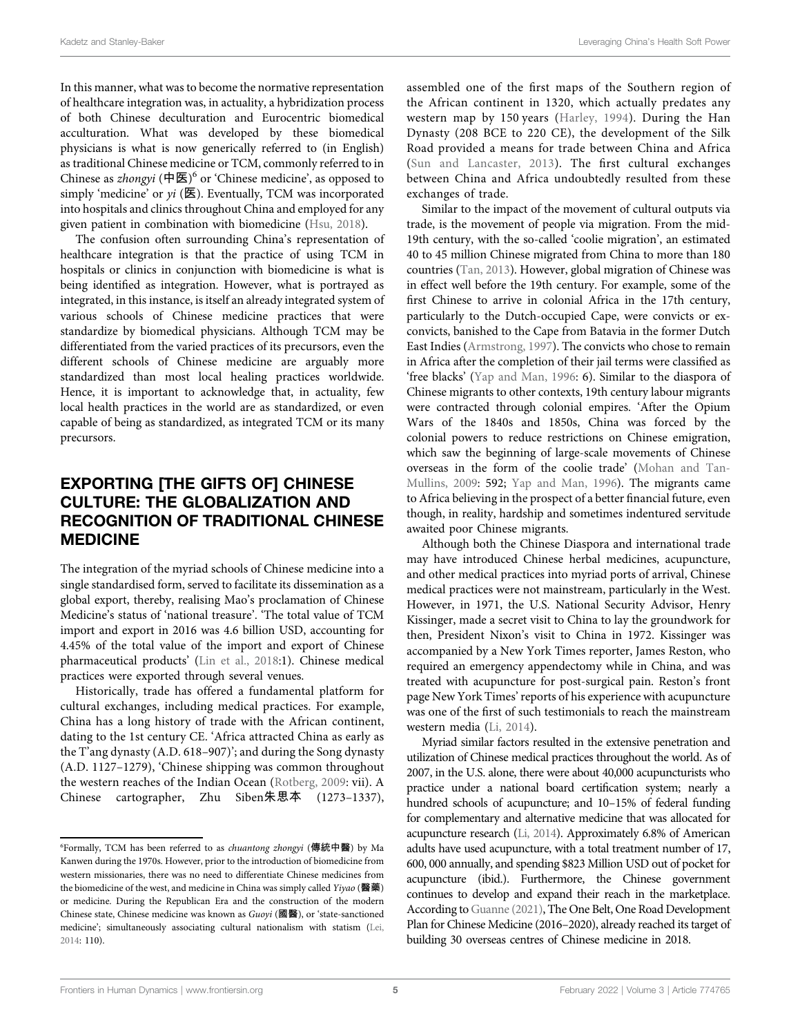In this manner, what was to become the normative representation of healthcare integration was, in actuality, a hybridization process of both Chinese deculturation and Eurocentric biomedical acculturation. What was developed by these biomedical physicians is what is now generically referred to (in English) as traditional Chinese medicine or TCM, commonly referred to in Chinese as *zhongyi* (中医)<sup>6</sup> or 'Chinese medicine', as opposed to simply 'medicine' or  $yi$  ( $\mathbb E$ ). Eventually, TCM was incorporated into hospitals and clinics throughout China and employed for any given patient in combination with biomedicine ([Hsu, 2018\)](#page-10-12).

The confusion often surrounding China's representation of healthcare integration is that the practice of using TCM in hospitals or clinics in conjunction with biomedicine is what is being identified as integration. However, what is portrayed as integrated, in this instance, is itself an already integrated system of various schools of Chinese medicine practices that were standardize by biomedical physicians. Although TCM may be differentiated from the varied practices of its precursors, even the different schools of Chinese medicine are arguably more standardized than most local healing practices worldwide. Hence, it is important to acknowledge that, in actuality, few local health practices in the world are as standardized, or even capable of being as standardized, as integrated TCM or its many precursors.

## EXPORTING [THE GIFTS OF] CHINESE CULTURE: THE GLOBALIZATION AND RECOGNITION OF TRADITIONAL CHINESE MEDICINE

The integration of the myriad schools of Chinese medicine into a single standardised form, served to facilitate its dissemination as a global export, thereby, realising Mao's proclamation of Chinese Medicine's status of 'national treasure'. 'The total value of TCM import and export in 2016 was 4.6 billion USD, accounting for 4.45% of the total value of the import and export of Chinese pharmaceutical products' ([Lin et al., 2018:](#page-10-13)1). Chinese medical practices were exported through several venues.

Historically, trade has offered a fundamental platform for cultural exchanges, including medical practices. For example, China has a long history of trade with the African continent, dating to the 1st century CE. 'Africa attracted China as early as the T'ang dynasty (A.D. 618–907)'; and during the Song dynasty (A.D. 1127–1279), 'Chinese shipping was common throughout the western reaches of the Indian Ocean ([Rotberg, 2009](#page-10-14): vii). A Chinese cartographer, Zhu Siben朱思本 (1273–1337),

assembled one of the first maps of the Southern region of the African continent in 1320, which actually predates any western map by 150 years ([Harley, 1994](#page-10-15)). During the Han Dynasty (208 BCE to 220 CE), the development of the Silk Road provided a means for trade between China and Africa ([Sun and Lancaster, 2013](#page-11-5)). The first cultural exchanges between China and Africa undoubtedly resulted from these exchanges of trade.

Similar to the impact of the movement of cultural outputs via trade, is the movement of people via migration. From the mid-19th century, with the so-called 'coolie migration', an estimated 40 to 45 million Chinese migrated from China to more than 180 countries [\(Tan, 2013\)](#page-11-6). However, global migration of Chinese was in effect well before the 19th century. For example, some of the first Chinese to arrive in colonial Africa in the 17th century, particularly to the Dutch-occupied Cape, were convicts or exconvicts, banished to the Cape from Batavia in the former Dutch East Indies [\(Armstrong, 1997\)](#page-10-16). The convicts who chose to remain in Africa after the completion of their jail terms were classified as 'free blacks' [\(Yap and Man, 1996](#page-11-7): 6). Similar to the diaspora of Chinese migrants to other contexts, 19th century labour migrants were contracted through colonial empires. 'After the Opium Wars of the 1840s and 1850s, China was forced by the colonial powers to reduce restrictions on Chinese emigration, which saw the beginning of large-scale movements of Chinese overseas in the form of the coolie trade' [\(Mohan and Tan-](#page-10-17)[Mullins, 2009](#page-10-17): 592; [Yap and Man, 1996](#page-11-7)). The migrants came to Africa believing in the prospect of a better financial future, even though, in reality, hardship and sometimes indentured servitude awaited poor Chinese migrants.

Although both the Chinese Diaspora and international trade may have introduced Chinese herbal medicines, acupuncture, and other medical practices into myriad ports of arrival, Chinese medical practices were not mainstream, particularly in the West. However, in 1971, the U.S. National Security Advisor, Henry Kissinger, made a secret visit to China to lay the groundwork for then, President Nixon's visit to China in 1972. Kissinger was accompanied by a New York Times reporter, James Reston, who required an emergency appendectomy while in China, and was treated with acupuncture for post-surgical pain. Reston's front page New York Times' reports of his experience with acupuncture was one of the first of such testimonials to reach the mainstream western media [\(Li, 2014\)](#page-10-18).

Myriad similar factors resulted in the extensive penetration and utilization of Chinese medical practices throughout the world. As of 2007, in the U.S. alone, there were about 40,000 acupuncturists who practice under a national board certification system; nearly a hundred schools of acupuncture; and 10–15% of federal funding for complementary and alternative medicine that was allocated for acupuncture research ([Li, 2014\)](#page-10-18). Approximately 6.8% of American adults have used acupuncture, with a total treatment number of 17, 600, 000 annually, and spending \$823 Million USD out of pocket for acupuncture (ibid.). Furthermore, the Chinese government continues to develop and expand their reach in the marketplace. According to [Guanne \(2021\),](#page-10-19) The One Belt, One Road Development Plan for Chinese Medicine (2016–2020), already reached its target of building 30 overseas centres of Chinese medicine in 2018.

<sup>&</sup>lt;sup>6</sup>Formally, TCM has been referred to as *chuantong zhongyi* (傳統中醫) by Ma Kanwen during the 1970s. However, prior to the introduction of biomedicine from western missionaries, there was no need to differentiate Chinese medicines from the biomedicine of the west, and medicine in China was simply called Yiyao (醫藥) or medicine. During the Republican Era and the construction of the modern Chinese state, Chinese medicine was known as Guoyi (國醫), or 'state-sanctioned medicine'; simultaneously associating cultural nationalism with statism [\(Lei,](#page-10-20) [2014:](#page-10-20) 110).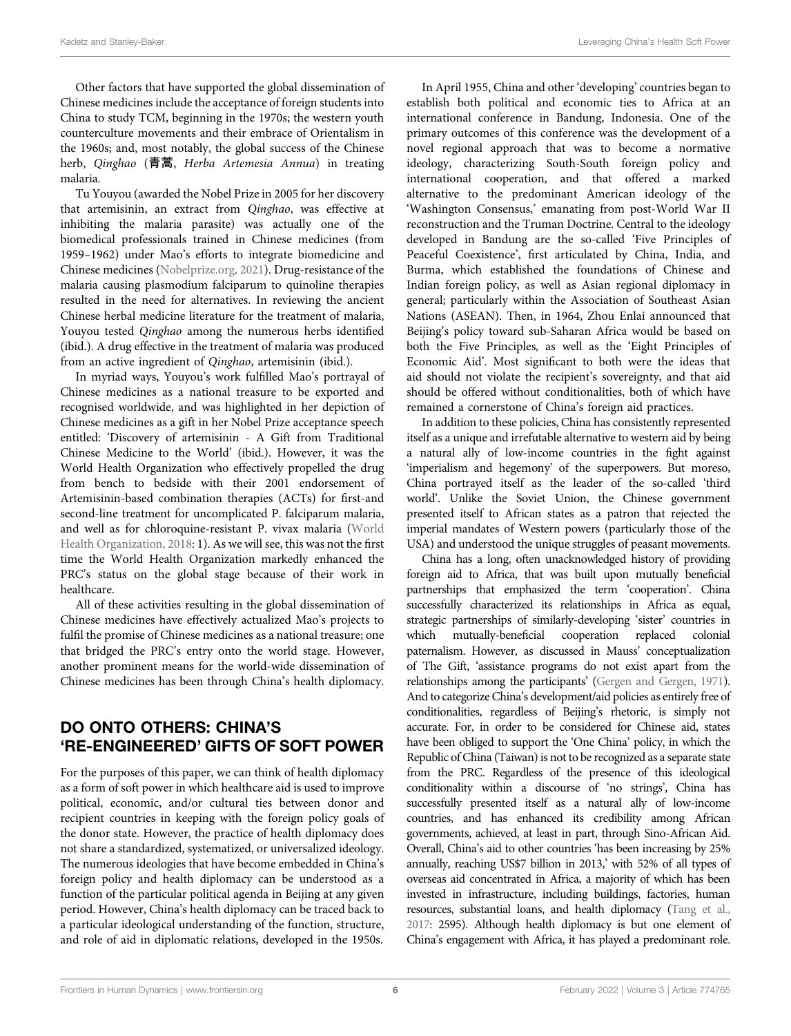Other factors that have supported the global dissemination of Chinese medicines include the acceptance of foreign students into China to study TCM, beginning in the 1970s; the western youth counterculture movements and their embrace of Orientalism in the 1960s; and, most notably, the global success of the Chinese herb, Qinghao (青蒿, Herba Artemesia Annua) in treating malaria.

Tu Youyou (awarded the Nobel Prize in 2005 for her discovery that artemisinin, an extract from Qinghao, was effective at inhibiting the malaria parasite) was actually one of the biomedical professionals trained in Chinese medicines (from 1959–1962) under Mao's efforts to integrate biomedicine and Chinese medicines ([Nobelprize.org, 2021\)](#page-10-21). Drug-resistance of the malaria causing plasmodium falciparum to quinoline therapies resulted in the need for alternatives. In reviewing the ancient Chinese herbal medicine literature for the treatment of malaria, Youyou tested Qinghao among the numerous herbs identified (ibid.). A drug effective in the treatment of malaria was produced from an active ingredient of Qinghao, artemisinin (ibid.).

In myriad ways, Youyou's work fulfilled Mao's portrayal of Chinese medicines as a national treasure to be exported and recognised worldwide, and was highlighted in her depiction of Chinese medicines as a gift in her Nobel Prize acceptance speech entitled: 'Discovery of artemisinin - A Gift from Traditional Chinese Medicine to the World' (ibid.). However, it was the World Health Organization who effectively propelled the drug from bench to bedside with their 2001 endorsement of Artemisinin-based combination therapies (ACTs) for first-and second-line treatment for uncomplicated P. falciparum malaria, and well as for chloroquine-resistant P. vivax malaria [\(World](#page-11-8) [Health Organization, 2018:](#page-11-8) 1). As we will see, this was not the first time the World Health Organization markedly enhanced the PRC's status on the global stage because of their work in healthcare.

All of these activities resulting in the global dissemination of Chinese medicines have effectively actualized Mao's projects to fulfil the promise of Chinese medicines as a national treasure; one that bridged the PRC's entry onto the world stage. However, another prominent means for the world-wide dissemination of Chinese medicines has been through China's health diplomacy.

## DO ONTO OTHERS: CHINA'S 'RE-ENGINEERED' GIFTS OF SOFT POWER

For the purposes of this paper, we can think of health diplomacy as a form of soft power in which healthcare aid is used to improve political, economic, and/or cultural ties between donor and recipient countries in keeping with the foreign policy goals of the donor state. However, the practice of health diplomacy does not share a standardized, systematized, or universalized ideology. The numerous ideologies that have become embedded in China's foreign policy and health diplomacy can be understood as a function of the particular political agenda in Beijing at any given period. However, China's health diplomacy can be traced back to a particular ideological understanding of the function, structure, and role of aid in diplomatic relations, developed in the 1950s.

In April 1955, China and other 'developing' countries began to establish both political and economic ties to Africa at an international conference in Bandung, Indonesia. One of the primary outcomes of this conference was the development of a novel regional approach that was to become a normative ideology, characterizing South-South foreign policy and international cooperation, and that offered a marked alternative to the predominant American ideology of the 'Washington Consensus,' emanating from post-World War II reconstruction and the Truman Doctrine. Central to the ideology developed in Bandung are the so-called 'Five Principles of Peaceful Coexistence', first articulated by China, India, and Burma, which established the foundations of Chinese and Indian foreign policy, as well as Asian regional diplomacy in general; particularly within the Association of Southeast Asian Nations (ASEAN). Then, in 1964, Zhou Enlai announced that Beijing's policy toward sub-Saharan Africa would be based on both the Five Principles, as well as the 'Eight Principles of Economic Aid'. Most significant to both were the ideas that aid should not violate the recipient's sovereignty, and that aid should be offered without conditionalities, both of which have remained a cornerstone of China's foreign aid practices.

In addition to these policies, China has consistently represented itself as a unique and irrefutable alternative to western aid by being a natural ally of low-income countries in the fight against 'imperialism and hegemony' of the superpowers. But moreso, China portrayed itself as the leader of the so-called 'third world'. Unlike the Soviet Union, the Chinese government presented itself to African states as a patron that rejected the imperial mandates of Western powers (particularly those of the USA) and understood the unique struggles of peasant movements.

China has a long, often unacknowledged history of providing foreign aid to Africa, that was built upon mutually beneficial partnerships that emphasized the term 'cooperation'. China successfully characterized its relationships in Africa as equal, strategic partnerships of similarly-developing 'sister' countries in which mutually-beneficial cooperation replaced colonial paternalism. However, as discussed in Mauss' conceptualization of The Gift, 'assistance programs do not exist apart from the relationships among the participants' [\(Gergen and Gergen, 1971\)](#page-10-22). And to categorize China's development/aid policies as entirely free of conditionalities, regardless of Beijing's rhetoric, is simply not accurate. For, in order to be considered for Chinese aid, states have been obliged to support the 'One China' policy, in which the Republic of China (Taiwan) is not to be recognized as a separate state from the PRC. Regardless of the presence of this ideological conditionality within a discourse of 'no strings', China has successfully presented itself as a natural ally of low-income countries, and has enhanced its credibility among African governments, achieved, at least in part, through Sino-African Aid. Overall, China's aid to other countries 'has been increasing by 25% annually, reaching US\$7 billion in 2013,' with 52% of all types of overseas aid concentrated in Africa, a majority of which has been invested in infrastructure, including buildings, factories, human resources, substantial loans, and health diplomacy [\(Tang et al.,](#page-11-9) [2017](#page-11-9): 2595). Although health diplomacy is but one element of China's engagement with Africa, it has played a predominant role.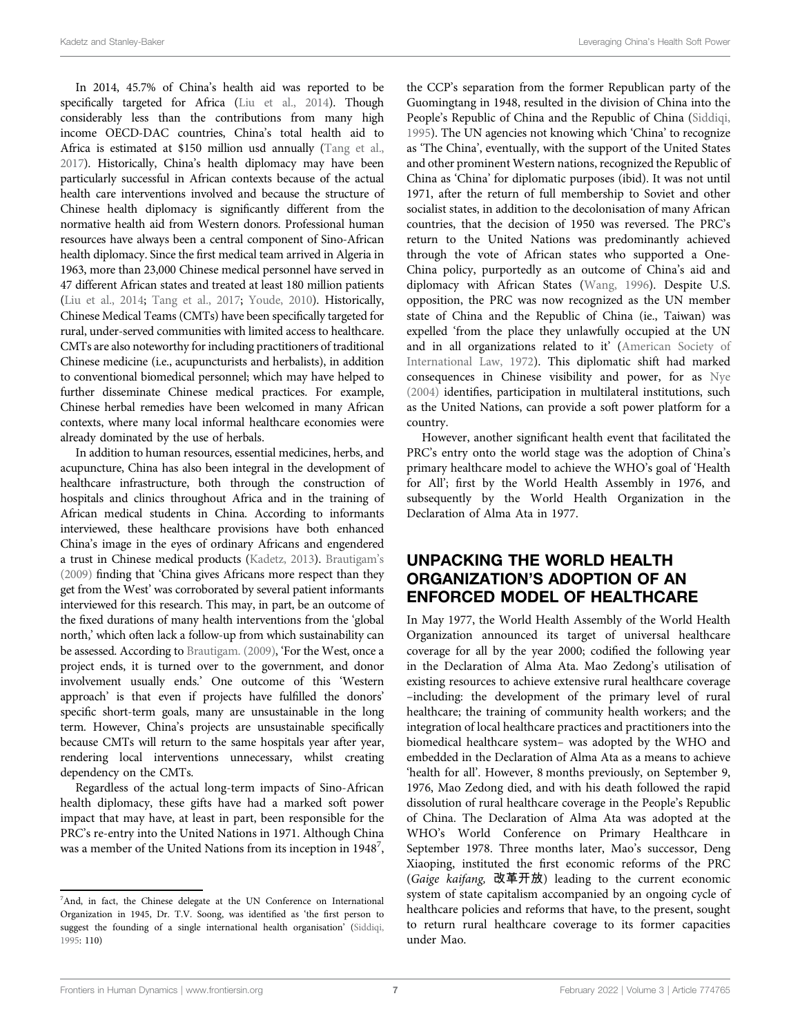In 2014, 45.7% of China's health aid was reported to be specifically targeted for Africa ([Liu et al., 2014\)](#page-10-23). Though considerably less than the contributions from many high income OECD-DAC countries, China's total health aid to Africa is estimated at \$150 million usd annually [\(Tang et al.,](#page-11-9) [2017](#page-11-9)). Historically, China's health diplomacy may have been particularly successful in African contexts because of the actual health care interventions involved and because the structure of Chinese health diplomacy is significantly different from the normative health aid from Western donors. Professional human resources have always been a central component of Sino-African health diplomacy. Since the first medical team arrived in Algeria in 1963, more than 23,000 Chinese medical personnel have served in 47 different African states and treated at least 180 million patients ([Liu et al., 2014](#page-10-23); [Tang et al., 2017;](#page-11-9) [Youde, 2010](#page-11-10)). Historically, Chinese Medical Teams (CMTs) have been specifically targeted for rural, under-served communities with limited access to healthcare. CMTs are also noteworthy for including practitioners of traditional Chinese medicine (i.e., acupuncturists and herbalists), in addition to conventional biomedical personnel; which may have helped to further disseminate Chinese medical practices. For example, Chinese herbal remedies have been welcomed in many African contexts, where many local informal healthcare economies were already dominated by the use of herbals.

In addition to human resources, essential medicines, herbs, and acupuncture, China has also been integral in the development of healthcare infrastructure, both through the construction of hospitals and clinics throughout Africa and in the training of African medical students in China. According to informants interviewed, these healthcare provisions have both enhanced China's image in the eyes of ordinary Africans and engendered a trust in Chinese medical products [\(Kadetz, 2013\)](#page-10-24). [Brautigam](#page-10-25)'s [\(2009\)](#page-10-25) finding that 'China gives Africans more respect than they get from the West' was corroborated by several patient informants interviewed for this research. This may, in part, be an outcome of the fixed durations of many health interventions from the 'global north,' which often lack a follow-up from which sustainability can be assessed. According to [Brautigam. \(2009\)](#page-10-25), 'For the West, once a project ends, it is turned over to the government, and donor involvement usually ends.' One outcome of this 'Western approach' is that even if projects have fulfilled the donors' specific short-term goals, many are unsustainable in the long term. However, China's projects are unsustainable specifically because CMTs will return to the same hospitals year after year, rendering local interventions unnecessary, whilst creating dependency on the CMTs.

Regardless of the actual long-term impacts of Sino-African health diplomacy, these gifts have had a marked soft power impact that may have, at least in part, been responsible for the PRC's re-entry into the United Nations in 1971. Although China was a member of the United Nations from its inception in 1948<sup>7</sup>,

the CCP's separation from the former Republican party of the Guomingtang in 1948, resulted in the division of China into the People's Republic of China and the Republic of China [\(Siddiqi,](#page-10-26) [1995](#page-10-26)). The UN agencies not knowing which 'China' to recognize as 'The China', eventually, with the support of the United States and other prominent Western nations, recognized the Republic of China as 'China' for diplomatic purposes (ibid). It was not until 1971, after the return of full membership to Soviet and other socialist states, in addition to the decolonisation of many African countries, that the decision of 1950 was reversed. The PRC's return to the United Nations was predominantly achieved through the vote of African states who supported a One-China policy, purportedly as an outcome of China's aid and diplomacy with African States ([Wang, 1996\)](#page-11-11). Despite U.S. opposition, the PRC was now recognized as the UN member state of China and the Republic of China (ie., Taiwan) was expelled 'from the place they unlawfully occupied at the UN and in all organizations related to it' [\(American Society of](#page-10-27) [International Law, 1972\)](#page-10-27). This diplomatic shift had marked consequences in Chinese visibility and power, for as [Nye](#page-10-28) [\(2004\)](#page-10-28) identifies, participation in multilateral institutions, such as the United Nations, can provide a soft power platform for a country.

However, another significant health event that facilitated the PRC's entry onto the world stage was the adoption of China's primary healthcare model to achieve the WHO's goal of 'Health for All'; first by the World Health Assembly in 1976, and subsequently by the World Health Organization in the Declaration of Alma Ata in 1977.

## UNPACKING THE WORLD HEALTH ORGANIZATION'S ADOPTION OF AN ENFORCED MODEL OF HEALTHCARE

In May 1977, the World Health Assembly of the World Health Organization announced its target of universal healthcare coverage for all by the year 2000; codified the following year in the Declaration of Alma Ata. Mao Zedong's utilisation of existing resources to achieve extensive rural healthcare coverage –including: the development of the primary level of rural healthcare; the training of community health workers; and the integration of local healthcare practices and practitioners into the biomedical healthcare system– was adopted by the WHO and embedded in the Declaration of Alma Ata as a means to achieve 'health for all'. However, 8 months previously, on September 9, 1976, Mao Zedong died, and with his death followed the rapid dissolution of rural healthcare coverage in the People's Republic of China. The Declaration of Alma Ata was adopted at the WHO's World Conference on Primary Healthcare in September 1978. Three months later, Mao's successor, Deng Xiaoping, instituted the first economic reforms of the PRC (Gaige kaifang, 改革开放) leading to the current economic system of state capitalism accompanied by an ongoing cycle of healthcare policies and reforms that have, to the present, sought to return rural healthcare coverage to its former capacities under Mao.

<sup>&</sup>lt;sup>7</sup>And, in fact, the Chinese delegate at the UN Conference on International Organization in 1945, Dr. T.V. Soong, was identified as 'the first person to suggest the founding of a single international health organisation' ([Siddiqi,](#page-10-26) [1995:](#page-10-26) 110)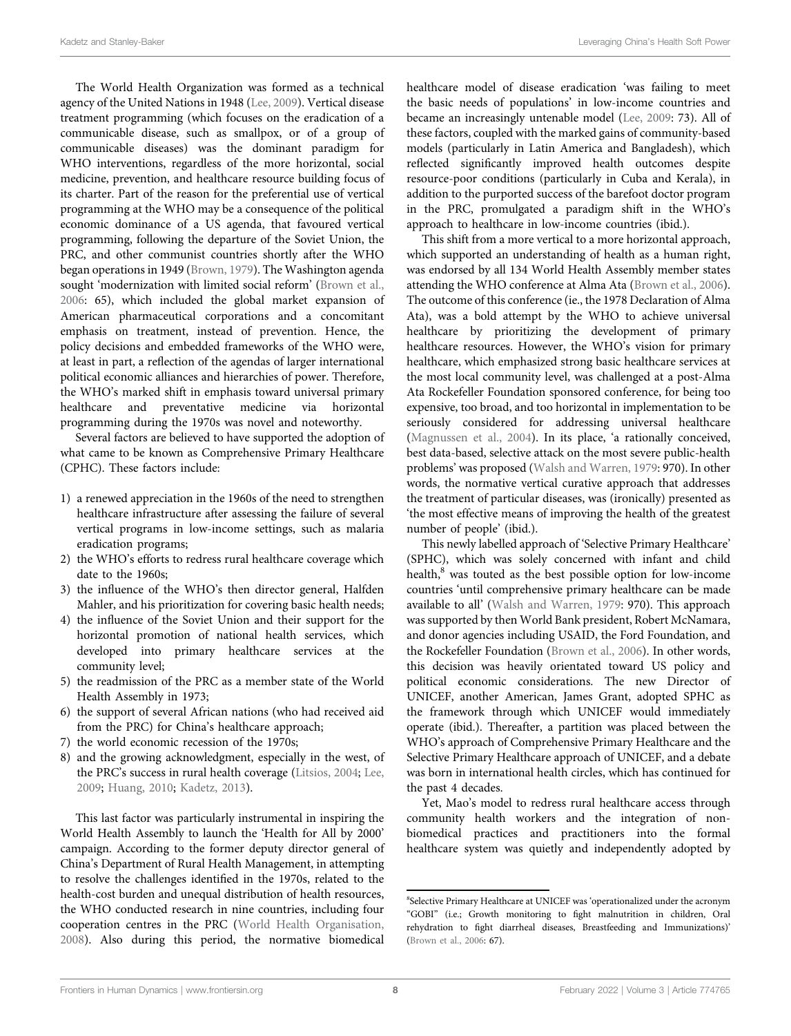The World Health Organization was formed as a technical agency of the United Nations in 1948 ([Lee, 2009\)](#page-10-29). Vertical disease treatment programming (which focuses on the eradication of a communicable disease, such as smallpox, or of a group of communicable diseases) was the dominant paradigm for WHO interventions, regardless of the more horizontal, social medicine, prevention, and healthcare resource building focus of its charter. Part of the reason for the preferential use of vertical programming at the WHO may be a consequence of the political economic dominance of a US agenda, that favoured vertical programming, following the departure of the Soviet Union, the PRC, and other communist countries shortly after the WHO began operations in 1949 [\(Brown, 1979\)](#page-10-30). The Washington agenda sought 'modernization with limited social reform' ([Brown et al.,](#page-10-31) [2006](#page-10-31): 65), which included the global market expansion of American pharmaceutical corporations and a concomitant emphasis on treatment, instead of prevention. Hence, the policy decisions and embedded frameworks of the WHO were, at least in part, a reflection of the agendas of larger international political economic alliances and hierarchies of power. Therefore, the WHO's marked shift in emphasis toward universal primary healthcare and preventative medicine via horizontal programming during the 1970s was novel and noteworthy.

Several factors are believed to have supported the adoption of what came to be known as Comprehensive Primary Healthcare (CPHC). These factors include:

- 1) a renewed appreciation in the 1960s of the need to strengthen healthcare infrastructure after assessing the failure of several vertical programs in low-income settings, such as malaria eradication programs;
- 2) the WHO's efforts to redress rural healthcare coverage which date to the 1960s;
- 3) the influence of the WHO's then director general, Halfden Mahler, and his prioritization for covering basic health needs;
- 4) the influence of the Soviet Union and their support for the horizontal promotion of national health services, which developed into primary healthcare services at the community level;
- 5) the readmission of the PRC as a member state of the World Health Assembly in 1973;
- 6) the support of several African nations (who had received aid from the PRC) for China's healthcare approach;
- 7) the world economic recession of the 1970s;
- 8) and the growing acknowledgment, especially in the west, of the PRC's success in rural health coverage [\(Litsios, 2004;](#page-10-32) [Lee,](#page-10-29) [2009](#page-10-29); [Huang, 2010](#page-10-33); [Kadetz, 2013](#page-10-24)).

This last factor was particularly instrumental in inspiring the World Health Assembly to launch the 'Health for All by 2000' campaign. According to the former deputy director general of China's Department of Rural Health Management, in attempting to resolve the challenges identified in the 1970s, related to the health-cost burden and unequal distribution of health resources, the WHO conducted research in nine countries, including four cooperation centres in the PRC ([World Health Organisation,](#page-11-12) [2008](#page-11-12)). Also during this period, the normative biomedical

healthcare model of disease eradication 'was failing to meet the basic needs of populations' in low-income countries and became an increasingly untenable model ([Lee, 2009](#page-10-29): 73). All of these factors, coupled with the marked gains of community-based models (particularly in Latin America and Bangladesh), which reflected significantly improved health outcomes despite resource-poor conditions (particularly in Cuba and Kerala), in addition to the purported success of the barefoot doctor program in the PRC, promulgated a paradigm shift in the WHO's approach to healthcare in low-income countries (ibid.).

This shift from a more vertical to a more horizontal approach, which supported an understanding of health as a human right, was endorsed by all 134 World Health Assembly member states attending the WHO conference at Alma Ata [\(Brown et al., 2006\)](#page-10-31). The outcome of this conference (ie., the 1978 Declaration of Alma Ata), was a bold attempt by the WHO to achieve universal healthcare by prioritizing the development of primary healthcare resources. However, the WHO's vision for primary healthcare, which emphasized strong basic healthcare services at the most local community level, was challenged at a post-Alma Ata Rockefeller Foundation sponsored conference, for being too expensive, too broad, and too horizontal in implementation to be seriously considered for addressing universal healthcare [\(Magnussen et al., 2004](#page-10-34)). In its place, 'a rationally conceived, best data-based, selective attack on the most severe public-health problems' was proposed [\(Walsh and Warren, 1979:](#page-11-13) 970). In other words, the normative vertical curative approach that addresses the treatment of particular diseases, was (ironically) presented as 'the most effective means of improving the health of the greatest number of people' (ibid.).

This newly labelled approach of 'Selective Primary Healthcare' (SPHC), which was solely concerned with infant and child health,<sup>8</sup> was touted as the best possible option for low-income countries 'until comprehensive primary healthcare can be made available to all' [\(Walsh and Warren, 1979](#page-11-13): 970). This approach was supported by then World Bank president, Robert McNamara, and donor agencies including USAID, the Ford Foundation, and the Rockefeller Foundation ([Brown et al., 2006](#page-10-31)). In other words, this decision was heavily orientated toward US policy and political economic considerations. The new Director of UNICEF, another American, James Grant, adopted SPHC as the framework through which UNICEF would immediately operate (ibid.). Thereafter, a partition was placed between the WHO's approach of Comprehensive Primary Healthcare and the Selective Primary Healthcare approach of UNICEF, and a debate was born in international health circles, which has continued for the past 4 decades.

Yet, Mao's model to redress rural healthcare access through community health workers and the integration of nonbiomedical practices and practitioners into the formal healthcare system was quietly and independently adopted by

<sup>8</sup> Selective Primary Healthcare at UNICEF was 'operationalized under the acronym "GOBI" (i.e.; Growth monitoring to fight malnutrition in children, Oral rehydration to fight diarrheal diseases, Breastfeeding and Immunizations)' ([Brown et al., 2006](#page-10-31): 67).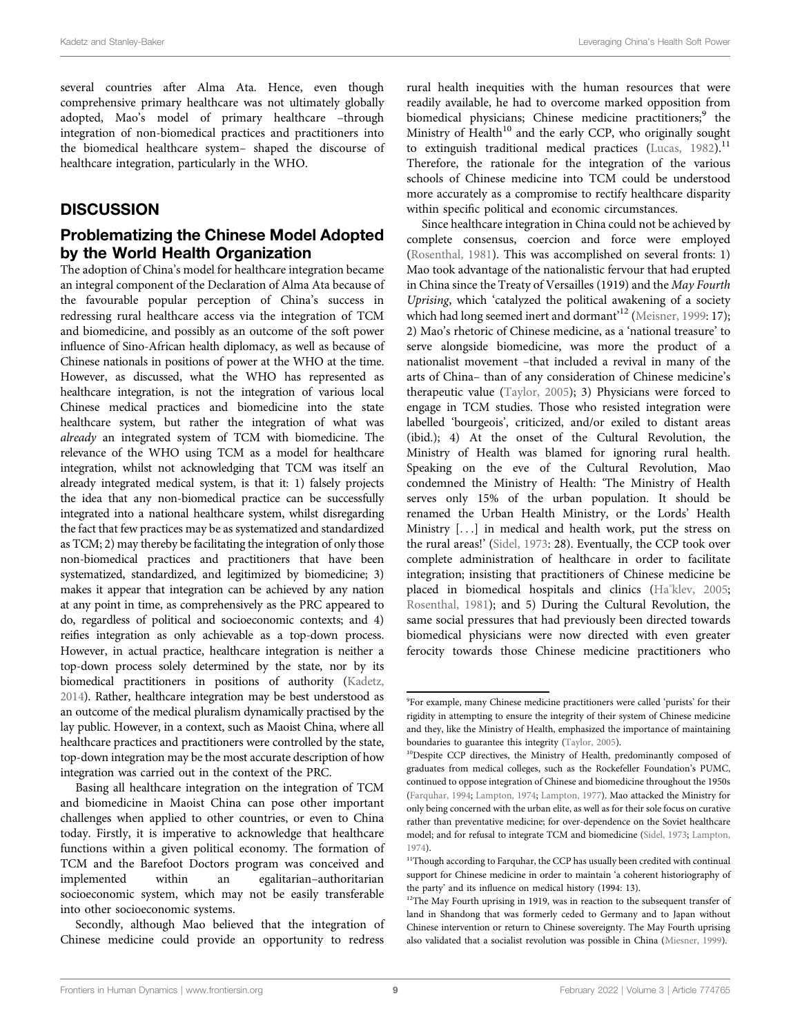several countries after Alma Ata. Hence, even though comprehensive primary healthcare was not ultimately globally adopted, Mao's model of primary healthcare –through integration of non-biomedical practices and practitioners into the biomedical healthcare system– shaped the discourse of healthcare integration, particularly in the WHO.

#### **DISCUSSION**

#### Problematizing the Chinese Model Adopted by the World Health Organization

The adoption of China's model for healthcare integration became an integral component of the Declaration of Alma Ata because of the favourable popular perception of China's success in redressing rural healthcare access via the integration of TCM and biomedicine, and possibly as an outcome of the soft power influence of Sino-African health diplomacy, as well as because of Chinese nationals in positions of power at the WHO at the time. However, as discussed, what the WHO has represented as healthcare integration, is not the integration of various local Chinese medical practices and biomedicine into the state healthcare system, but rather the integration of what was already an integrated system of TCM with biomedicine. The relevance of the WHO using TCM as a model for healthcare integration, whilst not acknowledging that TCM was itself an already integrated medical system, is that it: 1) falsely projects the idea that any non-biomedical practice can be successfully integrated into a national healthcare system, whilst disregarding the fact that few practices may be as systematized and standardized as TCM; 2) may thereby be facilitating the integration of only those non-biomedical practices and practitioners that have been systematized, standardized, and legitimized by biomedicine; 3) makes it appear that integration can be achieved by any nation at any point in time, as comprehensively as the PRC appeared to do, regardless of political and socioeconomic contexts; and 4) reifies integration as only achievable as a top-down process. However, in actual practice, healthcare integration is neither a top-down process solely determined by the state, nor by its biomedical practitioners in positions of authority ([Kadetz,](#page-10-35) [2014](#page-10-35)). Rather, healthcare integration may be best understood as an outcome of the medical pluralism dynamically practised by the lay public. However, in a context, such as Maoist China, where all healthcare practices and practitioners were controlled by the state, top-down integration may be the most accurate description of how integration was carried out in the context of the PRC.

Basing all healthcare integration on the integration of TCM and biomedicine in Maoist China can pose other important challenges when applied to other countries, or even to China today. Firstly, it is imperative to acknowledge that healthcare functions within a given political economy. The formation of TCM and the Barefoot Doctors program was conceived and implemented within an egalitarian–authoritarian socioeconomic system, which may not be easily transferable into other socioeconomic systems.

Secondly, although Mao believed that the integration of Chinese medicine could provide an opportunity to redress

rural health inequities with the human resources that were readily available, he had to overcome marked opposition from biomedical physicians; Chinese medicine practitioners;<sup>9</sup> the Ministry of Health<sup>10</sup> and the early CCP, who originally sought to extinguish traditional medical practices (Lucas,  $1982$ ).<sup>11</sup> Therefore, the rationale for the integration of the various schools of Chinese medicine into TCM could be understood more accurately as a compromise to rectify healthcare disparity within specific political and economic circumstances.

Since healthcare integration in China could not be achieved by complete consensus, coercion and force were employed [\(Rosenthal, 1981](#page-10-37)). This was accomplished on several fronts: 1) Mao took advantage of the nationalistic fervour that had erupted in China since the Treaty of Versailles (1919) and the May Fourth Uprising, which 'catalyzed the political awakening of a society which had long seemed inert and dormant<sup>12</sup> ([Meisner, 1999](#page-10-38): 17); 2) Mao's rhetoric of Chinese medicine, as a 'national treasure' to serve alongside biomedicine, was more the product of a nationalist movement –that included a revival in many of the arts of China– than of any consideration of Chinese medicine's therapeutic value [\(Taylor, 2005](#page-11-2)); 3) Physicians were forced to engage in TCM studies. Those who resisted integration were labelled 'bourgeois', criticized, and/or exiled to distant areas (ibid.); 4) At the onset of the Cultural Revolution, the Ministry of Health was blamed for ignoring rural health. Speaking on the eve of the Cultural Revolution, Mao condemned the Ministry of Health: 'The Ministry of Health serves only 15% of the urban population. It should be renamed the Urban Health Ministry, or the Lords' Health Ministry [...] in medical and health work, put the stress on the rural areas!' [\(Sidel, 1973](#page-10-10): 28). Eventually, the CCP took over complete administration of healthcare in order to facilitate integration; insisting that practitioners of Chinese medicine be placed in biomedical hospitals and clinics [\(Ha°](#page-10-39)[klev, 2005;](#page-10-39) [Rosenthal, 1981\)](#page-10-37); and 5) During the Cultural Revolution, the same social pressures that had previously been directed towards biomedical physicians were now directed with even greater ferocity towards those Chinese medicine practitioners who

<sup>9</sup> For example, many Chinese medicine practitioners were called 'purists' for their rigidity in attempting to ensure the integrity of their system of Chinese medicine and they, like the Ministry of Health, emphasized the importance of maintaining boundaries to guarantee this integrity [\(Taylor, 2005\)](#page-11-2).

<sup>&</sup>lt;sup>10</sup>Despite CCP directives, the Ministry of Health, predominantly composed of graduates from medical colleges, such as the Rockefeller Foundation's PUMC, continued to oppose integration of Chinese and biomedicine throughout the 1950s ([Farquhar, 1994](#page-10-40); [Lampton, 1974;](#page-10-41) [Lampton, 1977\)](#page-10-42). Mao attacked the Ministry for only being concerned with the urban elite, as well as for their sole focus on curative rather than preventative medicine; for over-dependence on the Soviet healthcare model; and for refusal to integrate TCM and biomedicine ([Sidel, 1973](#page-10-10); [Lampton,](#page-10-41) [1974](#page-10-41)).

<sup>&</sup>lt;sup>11</sup>Though according to Farquhar, the CCP has usually been credited with continual support for Chinese medicine in order to maintain 'a coherent historiography of the party' and its influence on medical history (1994: 13).

<sup>&</sup>lt;sup>12</sup>The May Fourth uprising in 1919, was in reaction to the subsequent transfer of land in Shandong that was formerly ceded to Germany and to Japan without Chinese intervention or return to Chinese sovereignty. The May Fourth uprising also validated that a socialist revolution was possible in China ([Miesner, 1999](#page-10-34)).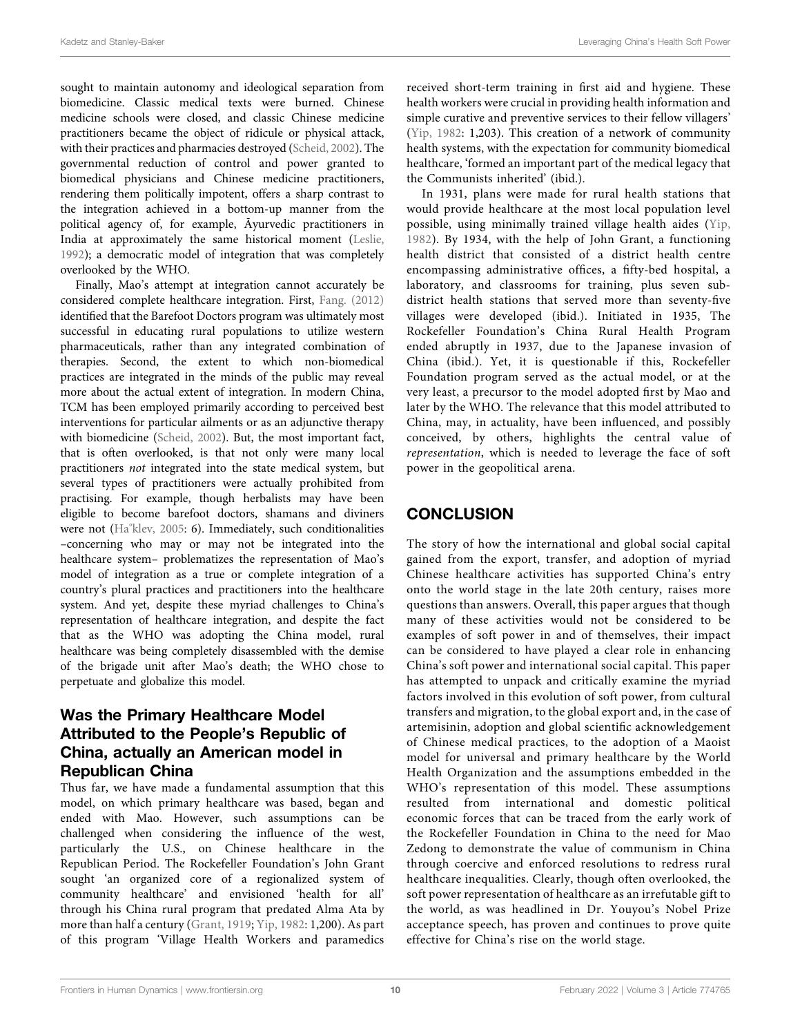sought to maintain autonomy and ideological separation from biomedicine. Classic medical texts were burned. Chinese medicine schools were closed, and classic Chinese medicine practitioners became the object of ridicule or physical attack, with their practices and pharmacies destroyed ([Scheid, 2002](#page-10-43)). The governmental reduction of control and power granted to biomedical physicians and Chinese medicine practitioners, rendering them politically impotent, offers a sharp contrast to the integration achieved in a bottom-up manner from the political agency of, for example, Āyurvedic practitioners in India at approximately the same historical moment ([Leslie,](#page-10-44) [1992](#page-10-44)); a democratic model of integration that was completely overlooked by the WHO.

Finally, Mao's attempt at integration cannot accurately be considered complete healthcare integration. First, [Fang. \(2012\)](#page-10-45) identified that the Barefoot Doctors program was ultimately most successful in educating rural populations to utilize western pharmaceuticals, rather than any integrated combination of therapies. Second, the extent to which non-biomedical practices are integrated in the minds of the public may reveal more about the actual extent of integration. In modern China, TCM has been employed primarily according to perceived best interventions for particular ailments or as an adjunctive therapy with biomedicine ([Scheid, 2002\)](#page-10-43). But, the most important fact, that is often overlooked, is that not only were many local practitioners not integrated into the state medical system, but several types of practitioners were actually prohibited from practising. For example, though herbalists may have been eligible to become barefoot doctors, shamans and diviners were not ([Ha](#page-10-39)°[klev, 2005:](#page-10-39) 6). Immediately, such conditionalities –concerning who may or may not be integrated into the healthcare system– problematizes the representation of Mao's model of integration as a true or complete integration of a country's plural practices and practitioners into the healthcare system. And yet, despite these myriad challenges to China's representation of healthcare integration, and despite the fact that as the WHO was adopting the China model, rural healthcare was being completely disassembled with the demise of the brigade unit after Mao's death; the WHO chose to perpetuate and globalize this model.

# Was the Primary Healthcare Model Attributed to the People's Republic of China, actually an American model in Republican China

Thus far, we have made a fundamental assumption that this model, on which primary healthcare was based, began and ended with Mao. However, such assumptions can be challenged when considering the influence of the west, particularly the U.S., on Chinese healthcare in the Republican Period. The Rockefeller Foundation's John Grant sought 'an organized core of a regionalized system of community healthcare' and envisioned 'health for all' through his China rural program that predated Alma Ata by more than half a century ([Grant, 1919](#page-10-46); [Yip, 1982](#page-11-1): 1,200). As part of this program 'Village Health Workers and paramedics

received short-term training in first aid and hygiene. These health workers were crucial in providing health information and simple curative and preventive services to their fellow villagers' [\(Yip, 1982](#page-11-1): 1,203). This creation of a network of community health systems, with the expectation for community biomedical healthcare, 'formed an important part of the medical legacy that the Communists inherited' (ibid.).

In 1931, plans were made for rural health stations that would provide healthcare at the most local population level possible, using minimally trained village health aides ([Yip,](#page-11-1) [1982](#page-11-1)). By 1934, with the help of John Grant, a functioning health district that consisted of a district health centre encompassing administrative offices, a fifty-bed hospital, a laboratory, and classrooms for training, plus seven subdistrict health stations that served more than seventy-five villages were developed (ibid.). Initiated in 1935, The Rockefeller Foundation's China Rural Health Program ended abruptly in 1937, due to the Japanese invasion of China (ibid.). Yet, it is questionable if this, Rockefeller Foundation program served as the actual model, or at the very least, a precursor to the model adopted first by Mao and later by the WHO. The relevance that this model attributed to China, may, in actuality, have been influenced, and possibly conceived, by others, highlights the central value of representation, which is needed to leverage the face of soft power in the geopolitical arena.

# **CONCLUSION**

The story of how the international and global social capital gained from the export, transfer, and adoption of myriad Chinese healthcare activities has supported China's entry onto the world stage in the late 20th century, raises more questions than answers. Overall, this paper argues that though many of these activities would not be considered to be examples of soft power in and of themselves, their impact can be considered to have played a clear role in enhancing China's soft power and international social capital. This paper has attempted to unpack and critically examine the myriad factors involved in this evolution of soft power, from cultural transfers and migration, to the global export and, in the case of artemisinin, adoption and global scientific acknowledgement of Chinese medical practices, to the adoption of a Maoist model for universal and primary healthcare by the World Health Organization and the assumptions embedded in the WHO's representation of this model. These assumptions resulted from international and domestic political economic forces that can be traced from the early work of the Rockefeller Foundation in China to the need for Mao Zedong to demonstrate the value of communism in China through coercive and enforced resolutions to redress rural healthcare inequalities. Clearly, though often overlooked, the soft power representation of healthcare as an irrefutable gift to the world, as was headlined in Dr. Youyou's Nobel Prize acceptance speech, has proven and continues to prove quite effective for China's rise on the world stage.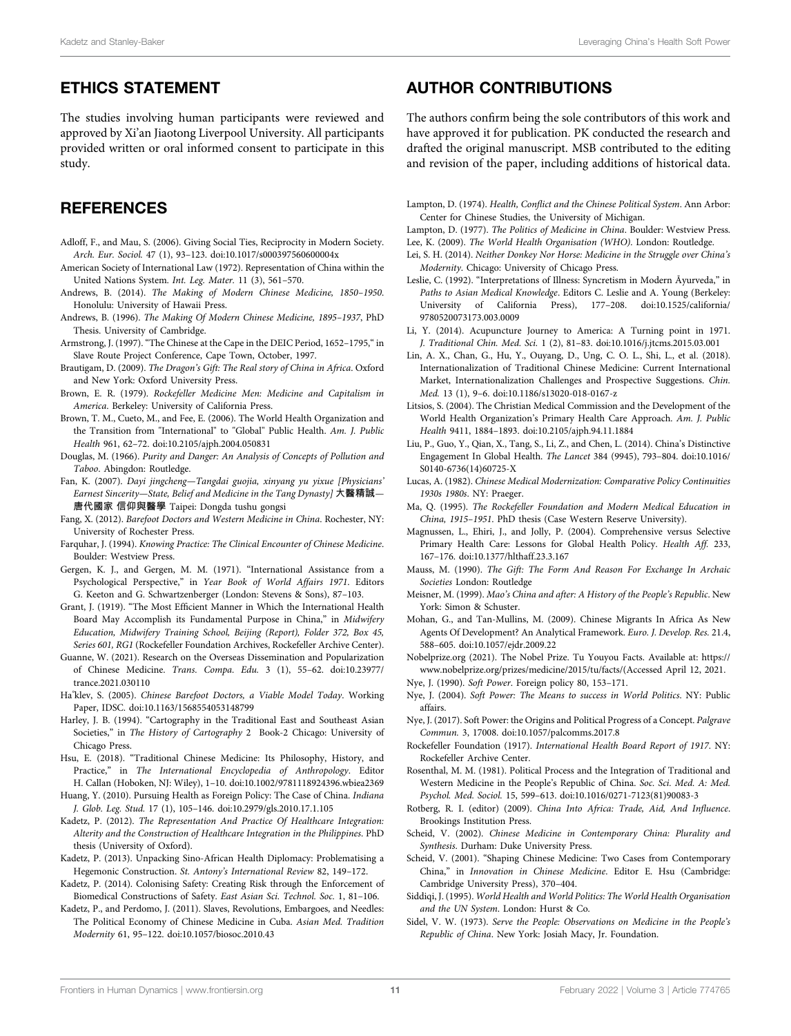## ETHICS STATEMENT

The studies involving human participants were reviewed and approved by Xi'an Jiaotong Liverpool University. All participants provided written or oral informed consent to participate in this study.

# **REFERENCES**

- <span id="page-10-3"></span>Adloff, F., and Mau, S. (2006). Giving Social Ties, Reciprocity in Modern Society. Arch. Eur. Sociol. 47 (1), 93–123. doi:[10.1017/s000397560600004x](https://doi.org/10.1017/s000397560600004x)
- <span id="page-10-27"></span>American Society of International Law (1972). Representation of China within the United Nations System. Int. Leg. Mater. 11 (3), 561–570.
- <span id="page-10-7"></span>Andrews, B. (2014). The Making of Modern Chinese Medicine, 1850–1950. Honolulu: University of Hawaii Press.
- <span id="page-10-8"></span>Andrews, B. (1996). The Making Of Modern Chinese Medicine, 1895–1937, PhD Thesis. University of Cambridge.
- <span id="page-10-16"></span>Armstrong, J. (1997). "The Chinese at the Cape in the DEIC Period, 1652–1795,"in Slave Route Project Conference, Cape Town, October, 1997.
- <span id="page-10-25"></span>Brautigam, D. (2009). The Dragon's Gift: The Real story of China in Africa. Oxford and New York: Oxford University Press.
- <span id="page-10-30"></span>Brown, E. R. (1979). Rockefeller Medicine Men: Medicine and Capitalism in America. Berkeley: University of California Press.
- <span id="page-10-31"></span>Brown, T. M., Cueto, M., and Fee, E. (2006). The World Health Organization and the Transition from "International" to "Global" Public Health. Am. J. Public Health 961, 62–72. doi[:10.2105/ajph.2004.050831](https://doi.org/10.2105/ajph.2004.050831)
- Douglas, M. (1966). Purity and Danger: An Analysis of Concepts of Pollution and Taboo. Abingdon: Routledge.
- <span id="page-10-4"></span>Fan, K. (2007). Dayi jingcheng—Tangdai guojia, xinyang yu yixue [Physicians' Earnest Sincerity—State, Belief and Medicine in the Tang Dynasty] 大醫精誠— 唐代國家 信仰與醫學 Taipei: Dongda tushu gongsi
- <span id="page-10-45"></span>Fang, X. (2012). Barefoot Doctors and Western Medicine in China. Rochester, NY: University of Rochester Press.
- <span id="page-10-40"></span>Farquhar, J. (1994). Knowing Practice: The Clinical Encounter of Chinese Medicine. Boulder: Westview Press.
- <span id="page-10-22"></span>Gergen, K. J., and Gergen, M. M. (1971). "International Assistance from a Psychological Perspective," in Year Book of World Affairs 1971. Editors G. Keeton and G. Schwartzenberger (London: Stevens & Sons), 87–103.
- <span id="page-10-46"></span>Grant, J. (1919). "The Most Efficient Manner in Which the International Health Board May Accomplish its Fundamental Purpose in China," in Midwifery Education, Midwifery Training School, Beijing (Report), Folder 372, Box 45, Series 601, RG1 (Rockefeller Foundation Archives, Rockefeller Archive Center).
- <span id="page-10-19"></span>Guanne, W. (2021). Research on the Overseas Dissemination and Popularization of Chinese Medicine. Trans. Compa. Edu. 3 (1), 55–62. doi:[10.23977/](https://doi.org/10.23977/trance.2021.030110) [trance.2021.030110](https://doi.org/10.23977/trance.2021.030110)
- <span id="page-10-39"></span>Ha°klev, S. (2005). Chinese Barefoot Doctors, a Viable Model Today. Working Paper, IDSC. doi[:10.1163/1568554053148799](https://doi.org/10.1163/1568554053148799)
- <span id="page-10-15"></span>Harley, J. B. (1994). "Cartography in the Traditional East and Southeast Asian Societies," in The History of Cartography 2 Book-2 Chicago: University of Chicago Press.
- <span id="page-10-12"></span>Hsu, E. (2018). "Traditional Chinese Medicine: Its Philosophy, History, and Practice," in The International Encyclopedia of Anthropology. Editor H. Callan (Hoboken, NJ: Wiley), 1–10. doi:[10.1002/9781118924396.wbiea2369](https://doi.org/10.1002/9781118924396.wbiea2369)
- <span id="page-10-33"></span>Huang, Y. (2010). Pursuing Health as Foreign Policy: The Case of China. Indiana J. Glob. Leg. Stud. 17 (1), 105–146. doi[:10.2979/gls.2010.17.1.105](https://doi.org/10.2979/gls.2010.17.1.105)
- <span id="page-10-5"></span>Kadetz, P. (2012). The Representation And Practice Of Healthcare Integration: Alterity and the Construction of Healthcare Integration in the Philippines. PhD thesis (University of Oxford).
- <span id="page-10-24"></span>Kadetz, P. (2013). Unpacking Sino-African Health Diplomacy: Problematising a Hegemonic Construction. St. Antony's International Review 82, 149–172.
- <span id="page-10-35"></span>Kadetz, P. (2014). Colonising Safety: Creating Risk through the Enforcement of Biomedical Constructions of Safety. East Asian Sci. Technol. Soc. 1, 81–106.
- <span id="page-10-11"></span>Kadetz, P., and Perdomo, J. (2011). Slaves, Revolutions, Embargoes, and Needles: The Political Economy of Chinese Medicine in Cuba. Asian Med. Tradition Modernity 61, 95–122. doi[:10.1057/biosoc.2010.43](https://doi.org/10.1057/biosoc.2010.43)

#### AUTHOR CONTRIBUTIONS

The authors confirm being the sole contributors of this work and have approved it for publication. PK conducted the research and drafted the original manuscript. MSB contributed to the editing and revision of the paper, including additions of historical data.

<span id="page-10-41"></span>Lampton, D. (1974). Health, Conflict and the Chinese Political System. Ann Arbor: Center for Chinese Studies, the University of Michigan.

<span id="page-10-42"></span><span id="page-10-29"></span>Lampton, D. (1977). The Politics of Medicine in China. Boulder: Westview Press. Lee, K. (2009). The World Health Organisation (WHO). London: Routledge.

- <span id="page-10-20"></span>Lei, S. H. (2014). Neither Donkey Nor Horse: Medicine in the Struggle over China's Modernity. Chicago: University of Chicago Press.
- <span id="page-10-44"></span>Leslie, C. (1992). "Interpretations of Illness: Syncretism in Modern Āyurveda," in Paths to Asian Medical Knowledge. Editors C. Leslie and A. Young (Berkeley: University of California Press), 177–208. doi:[10.1525/california/](https://doi.org/10.1525/california/9780520073173.003.0009) [9780520073173.003.0009](https://doi.org/10.1525/california/9780520073173.003.0009)
- <span id="page-10-18"></span>Li, Y. (2014). Acupuncture Journey to America: A Turning point in 1971. J. Traditional Chin. Med. Sci. 1 (2), 81–83. doi:[10.1016/j.jtcms.2015.03.001](https://doi.org/10.1016/j.jtcms.2015.03.001)
- <span id="page-10-13"></span>Lin, A. X., Chan, G., Hu, Y., Ouyang, D., Ung, C. O. L., Shi, L., et al. (2018). Internationalization of Traditional Chinese Medicine: Current International Market, Internationalization Challenges and Prospective Suggestions. Chin. Med. 13 (1), 9–6. doi[:10.1186/s13020-018-0167-z](https://doi.org/10.1186/s13020-018-0167-z)
- <span id="page-10-32"></span>Litsios, S. (2004). The Christian Medical Commission and the Development of the World Health Organization's Primary Health Care Approach. Am. J. Public Health 9411, 1884–1893. doi:[10.2105/ajph.94.11.1884](https://doi.org/10.2105/ajph.94.11.1884)
- <span id="page-10-23"></span>Liu, P., Guo, Y., Qian, X., Tang, S., Li, Z., and Chen, L. (2014). China's Distinctive Engagement In Global Health. The Lancet 384 (9945), 793–804. doi[:10.1016/](https://doi.org/10.1016/S0140-6736(14)60725-X) [S0140-6736\(14\)60725-X](https://doi.org/10.1016/S0140-6736(14)60725-X)
- <span id="page-10-36"></span>Lucas, A. (1982). Chinese Medical Modernization: Comparative Policy Continuities 1930s 1980s. NY: Praeger.
- <span id="page-10-6"></span>Ma, Q. (1995). The Rockefeller Foundation and Modern Medical Education in China, 1915–1951. PhD thesis (Case Western Reserve University).
- <span id="page-10-34"></span>Magnussen, L., Ehiri, J., and Jolly, P. (2004). Comprehensive versus Selective Primary Health Care: Lessons for Global Health Policy. Health Aff. 233, 167–176. doi:[10.1377/hlthaff.23.3.167](https://doi.org/10.1377/hlthaff.23.3.167)
- <span id="page-10-2"></span>Mauss, M. (1990). The Gift: The Form And Reason For Exchange In Archaic Societies London: Routledge
- <span id="page-10-38"></span>Meisner, M. (1999). Mao's China and after: A History of the People's Republic. New York: Simon & Schuster.
- <span id="page-10-17"></span>Mohan, G., and Tan-Mullins, M. (2009). Chinese Migrants In Africa As New Agents Of Development? An Analytical Framework. Euro. J. Develop. Res. 21.4, 588–605. doi:[10.1057/ejdr.2009.22](https://doi.org/10.1057/ejdr.2009.22)

<span id="page-10-21"></span>Nobelprize.org (2021). The Nobel Prize. Tu Youyou Facts. Available at: [https://](https://www.nobelprize.org/prizes/medicine/2015/tu/facts/) [www.nobelprize.org/prizes/medicine/2015/tu/facts/](https://www.nobelprize.org/prizes/medicine/2015/tu/facts/)(Accessed April 12, 2021.

Nye, J. (1990). Soft Power. Foreign policy 80, 153–171.

- <span id="page-10-28"></span>Nye, J. (2004). Soft Power: The Means to success in World Politics. NY: Public affairs.
- <span id="page-10-1"></span>Nye, J. (2017). Soft Power: the Origins and Political Progress of a Concept. Palgrave Commun. 3, 17008. doi[:10.1057/palcomms.2017.8](https://doi.org/10.1057/palcomms.2017.8)
- <span id="page-10-0"></span>Rockefeller Foundation (1917). International Health Board Report of 1917. NY: Rockefeller Archive Center.
- <span id="page-10-37"></span>Rosenthal, M. M. (1981). Political Process and the Integration of Traditional and Western Medicine in the People's Republic of China. Soc. Sci. Med. A: Med. Psychol. Med. Sociol. 15, 599–613. doi:[10.1016/0271-7123\(81\)90083-3](https://doi.org/10.1016/0271-7123(81)90083-3)
- <span id="page-10-14"></span>Rotberg, R. I. (editor) (2009). China Into Africa: Trade, Aid, And Influence. Brookings Institution Press.
- <span id="page-10-43"></span>Scheid, V. (2002). Chinese Medicine in Contemporary China: Plurality and Synthesis. Durham: Duke University Press.
- <span id="page-10-9"></span>Scheid, V. (2001). "Shaping Chinese Medicine: Two Cases from Contemporary China," in Innovation in Chinese Medicine. Editor E. Hsu (Cambridge: Cambridge University Press), 370–404.
- <span id="page-10-26"></span>Siddiqi, J. (1995). World Health and World Politics: The World Health Organisation and the UN System. London: Hurst & Co.
- <span id="page-10-10"></span>Sidel, V. W. (1973). Serve the People: Observations on Medicine in the People's Republic of China. New York: Josiah Macy, Jr. Foundation.